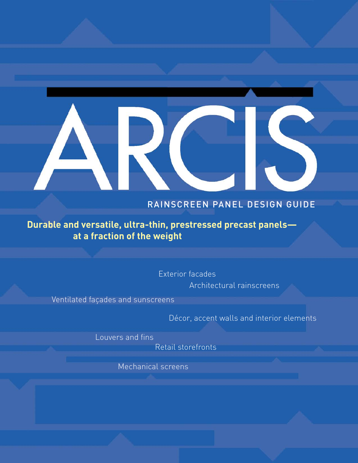# R

# RAINSCREEN PANEL DESIGN GUIDE

# **Durable and versatile, ultra-thin, prestressed precast panels at a fraction of the weight**

Exterior facades Architectural rainscreens

Ventilated façades and sunscreens

Décor, accent walls and interior elements

Louvers and fins

Retail storefronts

Mechanical screens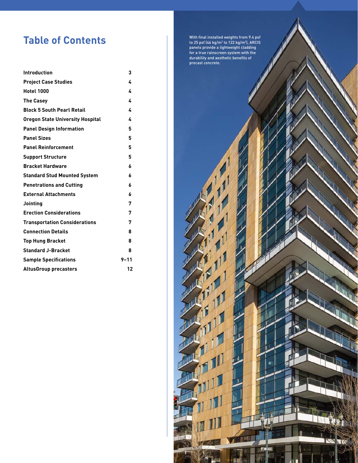# **Table of Contents**

| <b>Introduction</b>                     | 3        |
|-----------------------------------------|----------|
| <b>Project Case Studies</b>             | 4        |
| <b>Hotel 1000</b>                       | 4        |
| <b>The Casey</b>                        | 4        |
| <b>Block 5 South Pearl Retail</b>       | 4        |
| <b>Oregon State University Hospital</b> | 4        |
| <b>Panel Design Information</b>         | 5        |
| <b>Panel Sizes</b>                      | 5        |
| <b>Panel Reinforcement</b>              | 5        |
| <b>Support Structure</b>                | 5        |
| <b>Bracket Hardware</b>                 | 6        |
| <b>Standard Stud Mounted System</b>     | 6        |
| <b>Penetrations and Cutting</b>         | 6        |
| <b>External Attachments</b>             | 6        |
| <b>Jointing</b>                         | 7        |
| <b>Erection Considerations</b>          | 7        |
| <b>Transportation Considerations</b>    | 7        |
| <b>Connection Details</b>               | 8        |
| <b>Top Hung Bracket</b>                 | 8        |
| <b>Standard J-Bracket</b>               | 8        |
| <b>Sample Specifications</b>            | $9 - 11$ |
| <b>AltusGroup precasters</b>            | 12       |

With final installed weights from 9.4 psf to 25 psf (46 kg/m2 to 122 kg/m2 ), ARCIS panels provide a lightweight cladding for a true rainscreen system with the durability and aesthetic benefits of precast concrete.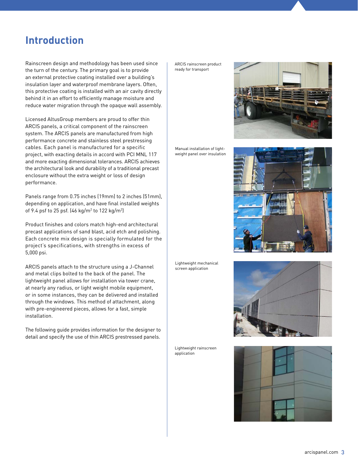# **Introduction**

Rainscreen design and methodology has been used since the turn of the century. The primary goal is to provide an external protective coating installed over a building's insulation layer and waterproof membrane layers. Often, this protective coating is installed with an air cavity directly behind it in an effort to efficiently manage moisture and reduce water migration through the opaque wall assembly.

Licensed AltusGroup members are proud to offer thin ARCIS panels, a critical component of the rainscreen system. The ARCIS panels are manufactured from high performance concrete and stainless steel prestressing cables. Each panel is manufactured for a specific project, with exacting details in accord with PCI MNL 117 and more exacting dimensional tolerances. ARCIS achieves the architectural look and durability of a traditional precast enclosure without the extra weight or loss of design performance.

Panels range from 0.75 inches (19mm) to 2 inches (51mm), depending on application, and have final installed weights of 9.4 psf to 25 psf.  $(46 \text{ kg/m}^2 \text{ to } 122 \text{ kg/m}^2)$ 

Product finishes and colors match high-end architectural precast applications of sand blast, acid etch and polishing. Each concrete mix design is specially formulated for the project's specifications, with strengths in excess of 5,000 psi.

ARCIS panels attach to the structure using a J-Channel and metal clips bolted to the back of the panel. The lightweight panel allows for installation via tower crane, at nearly any radius, or light weight mobile equipment, or in some instances, they can be delivered and installed through the windows. This method of attachment, along with pre-engineered pieces, allows for a fast, simple installation.

The following guide provides information for the designer to detail and specify the use of thin ARCIS prestressed panels.

ARCIS rainscreen product ready for transport



Manual installation of lightweight panel over insulation



Lightweight mechanical screen application



Lightweight rainscreen application

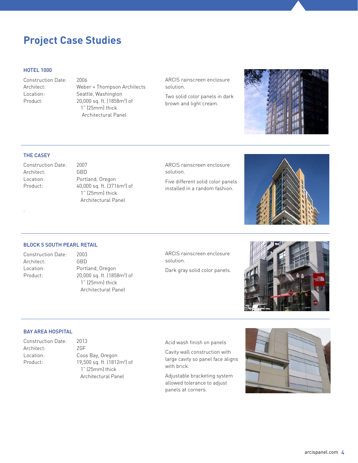# **Project Case Studies**

#### HOTEL 1000

Construction Date: 2006

Architect: Weber + Thompson Architects Location: Seattle, Washington Product: 20,000 sq. ft. (1858m2 ) of 1" (25mm) thick Architectural Panel

ARCIS rainscreen enclosure solution.

Two solid color panels in dark brown and light cream.



# THE CASEY

.

| Construction Date: |  |
|--------------------|--|
| Architect·         |  |
| Location:          |  |
| Product·           |  |
|                    |  |

2007 GBD Portland, Oregon Product: 40,000 sq. ft. (3716m2 ) of 1" (25mm) thick Architectural Panel

ARCIS rainscreen enclosure solution.

Five different solid color panels installed in a random fashion.



# BLOCK 5 SOUTH PEARL RETAIL

Construction Date: 2003 Architect: GBD

Location: Portland, Oregon Product: 20,000 sq. ft. (1858m2 ) of 1" (25mm) thick Architectural Panel

ARCIS rainscreen enclosure solution. Dark gray solid color panels.



# BAY AREA HOSPITAL

Construction Date: 2013 Architect: ZGF

Location: Coos Bay, Oregon Product: 19,500 sq. ft. (1812m2 ) of 1" (25mm) thick Architectural Panel

Acid wash finish on panels

Cavity wall construction with large cavity so panel face aligns with brick.

Adjustable bracketing system allowed tolerance to adjust panels at corners.

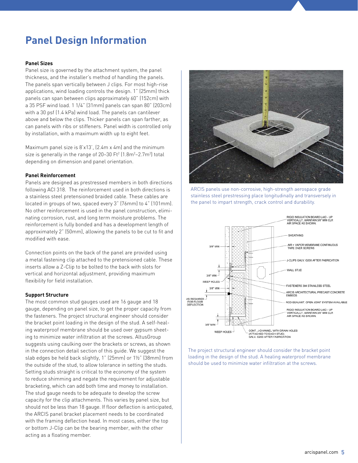# **Panel Design Information**

#### **Panel Sizes**

Panel size is governed by the attachment system, the panel thickness, and the installer's method of handling the panels. The panels span vertically between J clips. For most high-rise applications, wind loading controls the design. 1" (25mm) thick panels can span between clips approximately 60" (152cm) with a 35 PSF wind load. 1 1/4" (31mm) panels can span 80" (203cm) with a 30 psf (1.4 kPa) wind load. The panels can cantilever above and below the clips. Thicker panels can span farther, as can panels with ribs or stiffeners. Panel width is controlled only by installation, with a maximum width up to eight feet.

Maximum panel size is 8'x13', (2.4m x 4m) and the minimum size is generally in the range of 20–30  $Ft^2$  (1.8m<sup>2</sup>–2.7m<sup>2</sup>) total depending on dimension and panel orientation.

#### **Panel Reinforcement**

Panels are designed as prestressed members in both directions following ACI 318. The reinforcement used in both directions is a stainless steel pretensioned braided cable. These cables are located in groups of two, spaced every 3" (76mm) to 4" (101mm). No other reinforcement is used in the panel construction, eliminating corrosion, rust, and long term moisture problems. The reinforcement is fully bonded and has a development length of approximately 2" (50mm), allowing the panels to be cut to fit and modified with ease.

Connection points on the back of the panel are provided using a metal fastening clip attached to the pretensioned cable. These inserts allow a Z-Clip to be bolted to the back with slots for vertical and horizontal adjustment, providing maximum flexibility for field installation.

# **Support Structure**

The most common stud gauges used are 16 gauge and 18 gauge, depending on panel size, to get the proper capacity from the fasteners. The project structural engineer should consider the bracket point loading in the design of the stud. A self-healing waterproof membrane should be used over gypsum sheeting to minimize water infiltration at the screws. AltusGroup suggests using caulking over the brackets or screws, as shown in the connection detail section of this guide. We suggest the slab edges be held back slightly, 1" (25mm) or 1½" (38mm) from the outside of the stud, to allow tolerance in setting the studs. Setting studs straight is critical to the economy of the system to reduce shimming and negate the requirement for adjustable bracketing, which can add both time and money to installation. The stud gauge needs to be adequate to develop the screw capacity for the clip attachments. This varies by panel size, but should not be less than 18 gauge. If floor deflection is anticipated, the ARCIS panel bracket placement needs to be coordinated with the framing deflection head. In most cases, either the top or bottom J-Clip can be the bearing member, with the other acting as a floating member.



ARCIS panels use non-corrosive, high-strength aerospace grade stainless steel prestressing place longitudinally and transversely in the panel to impart strength, crack control and durability.



The project structural engineer should consider the bracket point loading in the design of the stud. A healing waterproof membrane should be used to minimize water infiltration at the screws.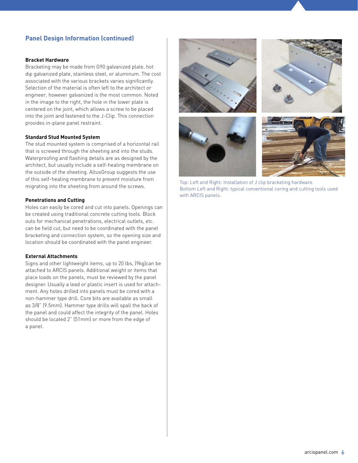# **Panel Design Information (continued)**

#### **Bracket Hardware**

Bracketing may be made from G90 galvanized plate, hot dip galvanized plate, stainless steel, or aluminum. The cost associated with the various brackets varies significantly. Selection of the material is often left to the architect or engineer, however galvanized is the most common. Noted in the image to the right, the hole in the lower plate is centered on the joint, which allows a screw to be placed into the joint and fastened to the J-Clip. This connection provides in-plane panel restraint.

#### **Standard Stud Mounted System**

The stud mounted system is comprised of a horizontal rail that is screwed through the sheeting and into the studs. Waterproofing and flashing details are as designed by the architect, but usually include a self-healing membrane on the outside of the sheeting. AltusGroup suggests the use of this self-healing membrane to prevent moisture from migrating into the sheeting from around the screws.

#### **Penetrations and Cutting**

Holes can easily be cored and cut into panels. Openings can be created using traditional concrete cutting tools. Block outs for mechanical penetrations, electrical outlets, etc. can be field cut, but need to be coordinated with the panel bracketing and connection system, so the opening size and location should be coordinated with the panel engineer.

#### **External Attachments**

Signs and other lightweight items, up to 20 lbs, (9kg)can be attached to ARCIS panels. Additional weight or items that place loads on the panels, must be reviewed by the panel designer. Usually a lead or plastic insert is used for attachment. Any holes drilled into panels must be cored with a non-hammer type drill. Core bits are available as small as 3/8" (9.5mm). Hammer type drills will spall the back of the panel and could affect the integrity of the panel. Holes should be located 2" (51mm) or more from the edge of a panel.



Top: Left and Right: Installation of J clip bracketing hardware. Bottom Left and Right: typical conventional coring and cutting tools used with ARCIS panels.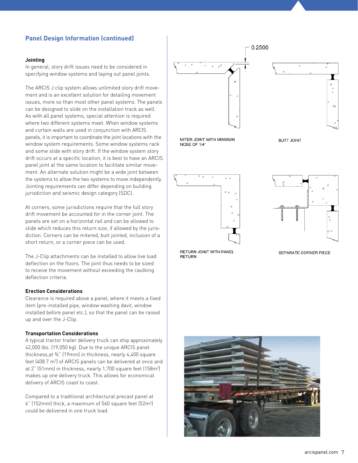# **Panel Design Information (continued)**

#### **Jointing**

In general, story drift issues need to be considered in specifying window systems and laying out panel joints.

The ARCIS J clip system allows unlimited story drift movement and is an excellent solution for detailing movement issues, more so than most other panel systems. The panels can be designed to slide on the installation track as well. As with all panel systems, special attention is required where two different systems meet. When window systems and curtain walls are used in conjunction with ARCIS panels, it is important to coordinate the joint locations with the window system requirements. Some window systems rack and some slide with story drift. If the window system story drift occurs at a specific location, it is best to have an ARCIS panel joint at the same location to facilitate similar movement. An alternate solution might be a wide joint between the systems to allow the two systems to move independently. Jointing requirements can differ depending on building jurisdiction and seismic design category (SDC).

At corners, some jurisdictions require that the full story drift movement be accounted for in the corner joint. The panels are set on a horizontal rail and can be allowed to slide which reduces this return size, if allowed by the jurisdiction. Corners can be mitered, butt jointed, inclusion of a short return, or a corner piece can be used.

The J-Clip attachments can be installed to allow live load deflection on the floors. The joint thus needs to be sized to receive the movement without exceeding the caulking deflection criteria.

#### **Erection Considerations**

Clearance is required above a panel, where it meets a fixed item (pre-installed pipe, window washing davit, window installed before panel etc.), so that the panel can be raised up and over the J-Clip.

#### **Transportation Considerations**

A typical tractor trailer delivery truck can ship approximately 42,000 lbs. (19,050 kg). Due to the unique ARCIS panel thickness,at ¾" (19mm) in thickness, nearly 4,400 square feet (408.7 m2 ) of ARCIS panels can be delivered at once and at 2" (51mm) in thickness, nearly 1,700 square feet (158m2 ) makes up one delivery truck. This allows for economical delivery of ARCIS coast to coast.

Compared to a traditional architectural precast panel at  $6$ " (152mm) thick, a maximum of 560 square feet (52m<sup>2</sup>) could be delivered in one truck load.





MITER JOINT WITH MINIMUM NOSE OF 1/4"

**BUTT JOINT** 





RETURN JOINT WITH PANEL **RETURN** 

SEPARATE CORNER PIECE

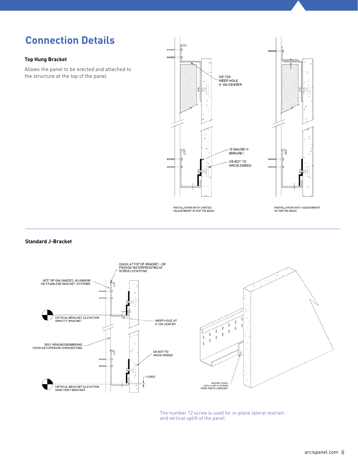# **Connection Details**

# **Top Hung Bracket**

Allows the panel to be erected and attached to the structure at the top of the panel.



INSTALLATION WITH LIMITED<br>ADJUSTMENT IN TOP TIE BACK

INSTALLATION WITH ADJUSTMENT<br>IN TOP TIE BACK

# **Standard J-Bracket**



The number 12 screw is used for in-plane lateral restrain and vertical uplift of the panel.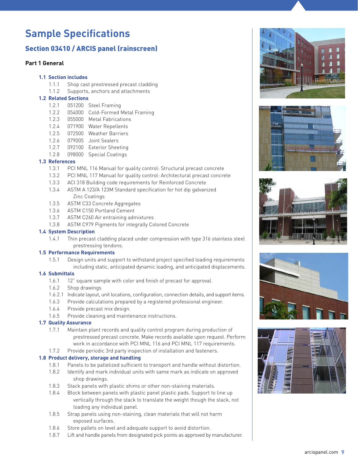# **Sample Specifications**

# Section 03410 / ARCIS panel (rainscreen)

# **Part 1 General**

# **1.1 Section includes**

- 1.1.1 Shop cast prestressed precast cladding
- 1.1.2 Supports, anchors and attachments

# **1.2 Related Sections**

- 1.2.1 051200 Steel Framing
- 1.2.2 054000 Cold-Formed Metal Framing
- 1.2.3 055000 Metal Fabrications
- 1.2.4 071900 Water Repellents
- 1.2.5 072500 Weather Barriers
- 1.2.6 079005 Joint Sealers
- 1.2.7 092100 Exterior Sheeting
- 1.2.8 098000 Special Coatings

# **1.3 References**

- 1.3.1 PCI MNL 116 Manual for quality control: Structural precast concrete
- 1.3.2 PCI MNL 117 Manual for quality control: Architectural precast concrete
- 1.3.3 ACI 318 Building code requirements for Reinforced Concrete
- 1.3.4 ASTM A 123/A 123M Standard specification for hot dip galvanized Zinc Coatings
- 1.3.5 ASTM C33 Concrete Aggregates
- 1.3.6 ASTM C150 Portland Cement
- 1.3.7 ASTM C260 Air entraining admixtures
- 1.3.8 ASTM C979 Pigments for integrally Colored Concrete

# **1.4 System Description**

1.4.1 Thin precast cladding placed under compression with type 316 stainless steel prestressing tendons.

# **1.5 Performance Requirements**

1.5.1 Design units and support to withstand project specified loading requirements including static, anticipated dynamic loading, and anticipated displacements.

# **1.6 Submittals**

- 1.6.1 12" square sample with color and finish of precast for approval.
- 1.6.2 Shop drawings
- 1.6.2.1 Indicate layout, unit locations, configuration, connection details, and support items.
- 1.6.3 Provide calculations prepared by a registered professional engineer.

# 1.6.4 Provide precast mix design.

1.6.5 Provide cleaning and maintenance instructions.

# **1.7 Quality Assurance**

- 1.7.1 Maintain plant records and quality control program during production of prestressed precast concrete. Make records available upon request. Perform work in accordance with PCI MNL 116 and PCI MNL 117 requirements.
- 1.7.2 Provide periodic 3rd party inspection of installation and fasteners.

# **1.8 Product delivery, storage and handling**

- 1.8.1 Panels to be palletized sufficient to transport and handle without distortion.
- 1.8.2 Identify and mark individual units with same mark as indicate on approved shop drawings.
- 1.8.3 Stack panels with plastic shims or other non-staining materials.
- 1.8.4 Block between panels with plastic panel plastic pads. Support to line up vertically through the stack to translate the weight though the stack, not loading any individual panel.
- 1.8.5 Strap panels using non-staining, clean materials that will not harm exposed surfaces.
- 1.8.6 Store pallets on level and adequate support to avoid distortion.
- 1.8.7 Lift and handle panels from designated pick points as approved by manufacturer.









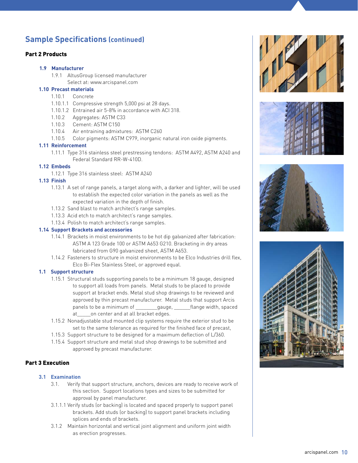# **Sample Specifications (continued)**

# Part 2 Products

## **1.9 Manufacturer**

 1.9.1 AltusGroup licensed manufacturer Select at: www.arcispanel.com

#### **1.10 Precast materials**

- 1.10.1 Concrete
- 1.10.1.1 Compressive strength 5,000 psi at 28 days.
- 1.10.1.2 Entrained air 5-8% in accordance with ACI 318.
- 1.10.2 Aggregates: ASTM C33
- 1.10.3 Cement: ASTM C150
- 1.10.4 Air entraining admixtures: ASTM C260
- 1.10.5 Color pigments: ASTM C979, inorganic natural iron oxide pigments.

# **1.11 Reinforcement**

1.11.1 Type 316 stainless steel prestressing tendons: ASTM A492, ASTM A240 and Federal Standard RR-W-410D.

# **1.12 Embeds**

1.12.1 Type 316 stainless steel: ASTM A240

#### **1.13 Finish**

- 1.13.1 A set of range panels, a target along with, a darker and lighter, will be used to establish the expected color variation in the panels as well as the expected variation in the depth of finish.
- 1.13.2 Sand blast to match architect's range samples.
- 1.13.3 Acid etch to match architect's range samples.
- 1.13.4 Polish to match architect's range samples.

#### **1.14 Support Brackets and accessories**

- 1.14.1 Brackets in moist environments to be hot dip galvanized after fabrication: ASTM A 123 Grade 100 or ASTM A653 G210. Bracketing in dry areas fabricated from G90 galvanized sheet, ASTM A653.
- 1.14.2 Fasteners to structure in moist environments to be Elco Industries drill flex, Elco Bi-Flex Stainless Steel, or approved equal.

#### **1.1 Support structure**

- 1.15.1 Structural studs supporting panels to be a minimum 18 gauge, designed to support all loads from panels. Metal studs to be placed to provide support at bracket ends. Metal stud shop drawings to be reviewed and approved by thin precast manufacturer. Metal studs that support Arcis panels to be a minimum of equipe, the flange width, spaced at on center and at all bracket edges.
- 1.15.2 Nonadjustable stud mounted clip systems require the exterior stud to be set to the same tolerance as required for the finished face of precast,
- 1.15.3 Support structure to be designed for a maximum deflection of L/360.
- 1.15.4 Support structure and metal stud shop drawings to be submitted and approved by precast manufacturer.

# Part 3 Execution

# **3.1 Examination**

- 3.1. Verify that support structure, anchors, devices are ready to receive work of this section. Support locations types and sizes to be submitted for approval by panel manufacturer.
- 3.1.1.1 Verify studs (or backing) is located and spaced properly to support panel brackets. Add studs (or backing) to support panel brackets including splices and ends of brackets.
- 3.1.2 Maintain horizontal and vertical joint alignment and uniform joint width as erection progresses.







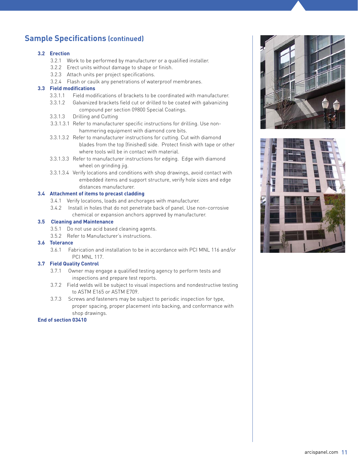# **Sample Specifications (continued)**

# **3.2 Erection**

- 3.2.1 Work to be performed by manufacturer or a qualified installer.
- 3.2.2 Erect units without damage to shape or finish.
- 3.2.3 Attach units per project specifications.
- 3.2.4 Flash or caulk any penetrations of waterproof membranes.

# **3.3 Field modifications**

- 3.3.1.1 Field modifications of brackets to be coordinated with manufacturer.
- 3.3.1.2 Galvanized brackets field cut or drilled to be coated with galvanizing
	- compound per section 09800 Special Coatings.
- 3.3.1.3 Drilling and Cutting
- 3.3.1.3.1 Refer to manufacturer specific instructions for drilling. Use non hammering equipment with diamond core bits.
- 3.3.1.3.2 Refer to manufacturer instructions for cutting. Cut with diamond blades from the top (finished) side. Protect finish with tape or other where tools will be in contact with material.
- 3.3.1.3.3 Refer to manufacturer instructions for edging. Edge with diamond wheel on grinding jig.
- 3.3.1.3.4 Verify locations and conditions with shop drawings, avoid contact with embedded items and support structure, verify hole sizes and edge distances manufacturer.

# **3.4 Attachment of items to precast cladding**

- 3.4.1 Verify locations, loads and anchorages with manufacturer.
- 3.4.2 Install in holes that do not penetrate back of panel. Use non-corrosive chemical or expansion anchors approved by manufacturer.

# **3.5 Cleaning and Maintenance**

- 3.5.1 Do not use acid based cleaning agents.
- 3.5.2 Refer to Manufacturer's instructions.

# **3.6 Tolerance**

3.6.1 Fabrication and installation to be in accordance with PCI MNL 116 and/or PCI MNL 117

# **3.7 Field Quality Control**

- 3.7.1 Owner may engage a qualified testing agency to perform tests and inspections and prepare test reports.
- 3.7.2 Field welds will be subject to visual inspections and nondestructive testing to ASTM E165 or ASTM E709.
- 3.7.3 Screws and fasteners may be subject to periodic inspection for type, proper spacing, proper placement into backing, and conformance with shop drawings.

# **End of section 03410**